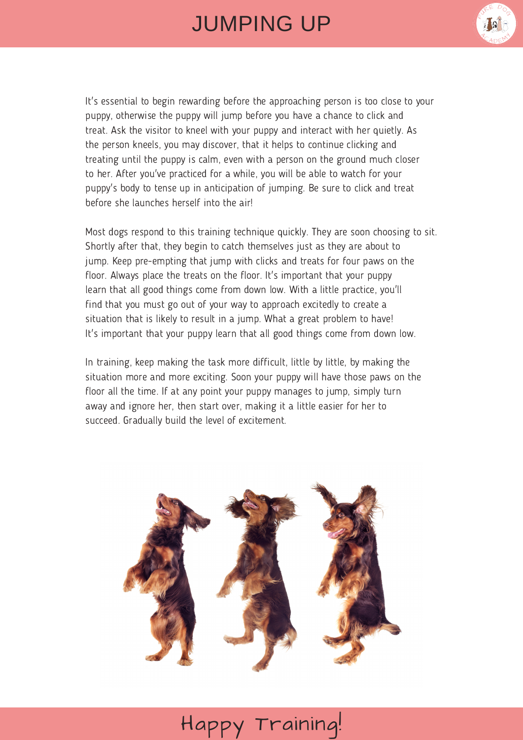## JUMPING UP



It's essential to begin rewarding before the approaching person is too close to your puppy, otherwise the puppy will jump before you have a chance to click and treat. Ask the visitor to kneel with your puppy and interact with her quietly. As the person kneels, you may discover, that it helps to continue clicking and treating until the puppy is calm, even with a person on the ground much closer to her. After you've practiced for a while, you will be able to watch for your puppy's body to tense up in anticipation of jumping. Be sure to click and treat before she launches herself into the air!

Most dogs respond to this training technique quickly. They are soon choosing to sit. Shortly after that, they begin to catch themselves just as they are about to jump. Keep pre-empting that jump with clicks and treats for four paws on the floor. Always place the treats on the floor. It's important that your puppy learn that all good things come from down low. With a little practice, you'll find that you must go out of your way to approach excitedly to create a situation that is likely to result in a jump. What a great problem to have! It's important that your puppy learn that all good things come from down low.

In training, keep making the task more difficult, little by little, by making the situation more and more exciting. Soon your puppy will have those paws on the floor all the time. If at any point your puppy manages to jump, simply turn away and ignore her, then start over, making it a little easier for her to succeed. Gradually build the level of excitement.



## Happy Training!